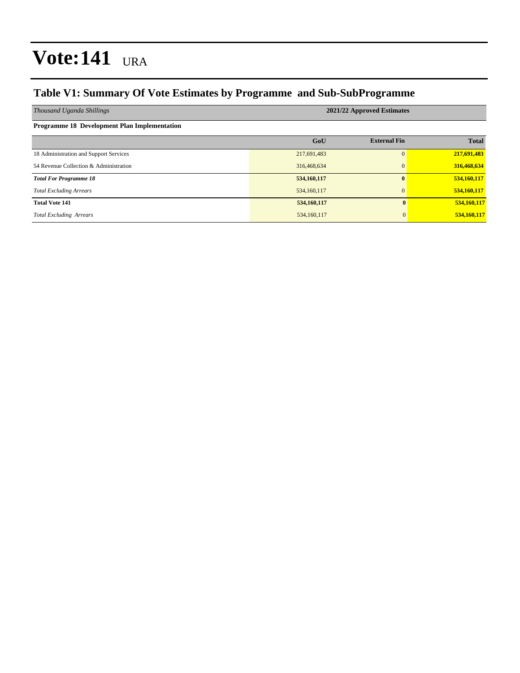#### **Table V1: Summary Of Vote Estimates by Programme and Sub-SubProgramme**

| Thousand Uganda Shillings                    | 2021/22 Approved Estimates |                     |              |  |  |  |  |  |
|----------------------------------------------|----------------------------|---------------------|--------------|--|--|--|--|--|
| Programme 18 Development Plan Implementation |                            |                     |              |  |  |  |  |  |
|                                              | GoU                        | <b>External Fin</b> | <b>Total</b> |  |  |  |  |  |
| 18 Administration and Support Services       | 217,691,483                |                     | 217,691,483  |  |  |  |  |  |
| 54 Revenue Collection & Administration       | 316,468,634                |                     | 316,468,634  |  |  |  |  |  |
| <b>Total For Programme 18</b>                | 534,160,117                |                     | 534,160,117  |  |  |  |  |  |
| <b>Total Excluding Arrears</b>               | 534,160,117                |                     | 534,160,117  |  |  |  |  |  |
| <b>Total Vote 141</b>                        | 534,160,117                | $\mathbf{0}$        | 534,160,117  |  |  |  |  |  |
| <b>Total Excluding Arrears</b>               | 534,160,117                | $\overline{0}$      | 534,160,117  |  |  |  |  |  |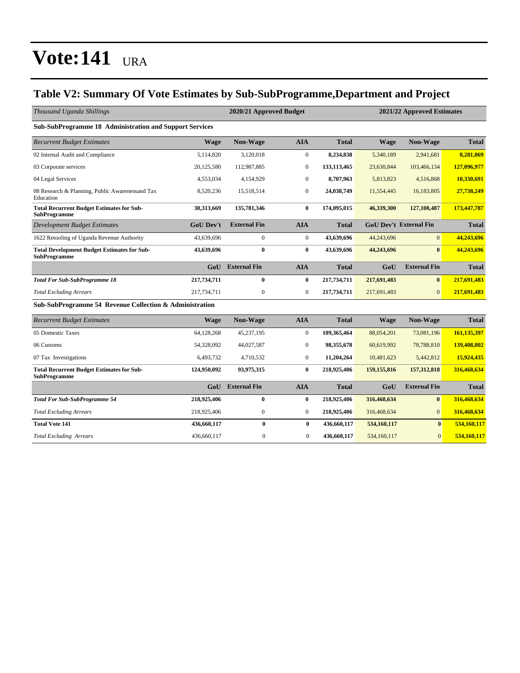#### **Table V2: Summary Of Vote Estimates by Sub-SubProgramme,Department and Project**

| Thousand Uganda Shillings                                                 |                  | 2020/21 Approved Budget<br>2021/22 Approved Estimates |                  |               |               |                               |              |  |
|---------------------------------------------------------------------------|------------------|-------------------------------------------------------|------------------|---------------|---------------|-------------------------------|--------------|--|
| Sub-SubProgramme 18 Administration and Support Services                   |                  |                                                       |                  |               |               |                               |              |  |
| <b>Recurrent Budget Estimates</b>                                         | Wage             | Non-Wage                                              | <b>AIA</b>       | <b>Total</b>  | <b>Wage</b>   | Non-Wage                      | <b>Total</b> |  |
| 02 Internal Audit and Compliance                                          | 5,114,820        | 3,120,018                                             | $\boldsymbol{0}$ | 8,234,838     | 5,340,189     | 2,941,681                     | 8,281,869    |  |
| 03 Corporate services                                                     | 20,125,580       | 112,987,885                                           | $\boldsymbol{0}$ | 133, 113, 465 | 23,630,844    | 103,466,134                   | 127,096,977  |  |
| 04 Legal Services                                                         | 4,553,034        | 4,154,929                                             | $\boldsymbol{0}$ | 8,707,963     | 5,813,823     | 4,516,868                     | 10,330,691   |  |
| 08 Research & Planning, Public Awarenessand Tax<br>Education              | 8,520,236        | 15,518,514                                            | $\boldsymbol{0}$ | 24,038,749    | 11,554,445    | 16,183,805                    | 27,738,249   |  |
| <b>Total Recurrent Budget Estimates for Sub-</b><br><b>SubProgramme</b>   | 38,313,669       | 135,781,346                                           | $\bf{0}$         | 174,095,015   | 46,339,300    | 127, 108, 487                 | 173,447,787  |  |
| <b>Development Budget Estimates</b>                                       | <b>GoU Dev't</b> | <b>External Fin</b>                                   | <b>AIA</b>       | <b>Total</b>  |               | <b>GoU Dev't External Fin</b> | <b>Total</b> |  |
| 1622 Retooling of Uganda Revenue Authority                                | 43,639,696       | $\mathbf{0}$                                          | $\mathbf{0}$     | 43,639,696    | 44,243,696    | $\mathbf{0}$                  | 44,243,696   |  |
| <b>Total Development Budget Estimates for Sub-</b><br><b>SubProgramme</b> | 43,639,696       | $\bf{0}$                                              | $\bf{0}$         | 43,639,696    | 44,243,696    | $\bf{0}$                      | 44,243,696   |  |
|                                                                           | GoU              | <b>External Fin</b>                                   | <b>AIA</b>       | <b>Total</b>  | GoU           | <b>External Fin</b>           | <b>Total</b> |  |
| <b>Total For Sub-SubProgramme 18</b>                                      | 217,734,711      | $\bf{0}$                                              | $\bf{0}$         | 217,734,711   | 217,691,483   | $\bf{0}$                      | 217,691,483  |  |
| <b>Total Excluding Arrears</b>                                            | 217,734,711      | $\boldsymbol{0}$                                      | $\boldsymbol{0}$ | 217,734,711   | 217,691,483   | $\overline{0}$                | 217,691,483  |  |
| Sub-SubProgramme 54 Revenue Collection & Administration                   |                  |                                                       |                  |               |               |                               |              |  |
| <b>Recurrent Budget Estimates</b>                                         | <b>Wage</b>      | Non-Wage                                              | <b>AIA</b>       | <b>Total</b>  | Wage          | Non-Wage                      | <b>Total</b> |  |
| 05 Domestic Taxes                                                         | 64,128,268       | 45,237,195                                            | $\mathbf{0}$     | 109,365,464   | 88,054,201    | 73,081,196                    | 161,135,397  |  |
| 06 Customs                                                                | 54,328,092       | 44,027,587                                            | $\boldsymbol{0}$ | 98,355,678    | 60,619,992    | 78,788,810                    | 139,408,802  |  |
| 07 Tax Investigations                                                     | 6,493,732        | 4,710,532                                             | $\boldsymbol{0}$ | 11,204,264    | 10,481,623    | 5,442,812                     | 15,924,435   |  |
| <b>Total Recurrent Budget Estimates for Sub-</b><br><b>SubProgramme</b>   | 124,950,092      | 93,975,315                                            | $\bf{0}$         | 218,925,406   | 159, 155, 816 | 157, 312, 818                 | 316,468,634  |  |
|                                                                           | GoU              | <b>External Fin</b>                                   | <b>AIA</b>       | <b>Total</b>  | GoU           | <b>External Fin</b>           | <b>Total</b> |  |
| <b>Total For Sub-SubProgramme 54</b>                                      | 218,925,406      | $\bf{0}$                                              | $\bf{0}$         | 218,925,406   | 316,468,634   | $\bf{0}$                      | 316,468,634  |  |
| <b>Total Excluding Arrears</b>                                            | 218,925,406      | $\boldsymbol{0}$                                      | $\boldsymbol{0}$ | 218,925,406   | 316,468,634   | $\overline{0}$                | 316,468,634  |  |
| <b>Total Vote 141</b>                                                     | 436,660,117      | $\bf{0}$                                              | $\bf{0}$         | 436,660,117   | 534,160,117   | $\bf{0}$                      | 534,160,117  |  |
| <b>Total Excluding Arrears</b>                                            | 436,660,117      | $\boldsymbol{0}$                                      | $\boldsymbol{0}$ | 436,660,117   | 534,160,117   | $\boldsymbol{0}$              | 534,160,117  |  |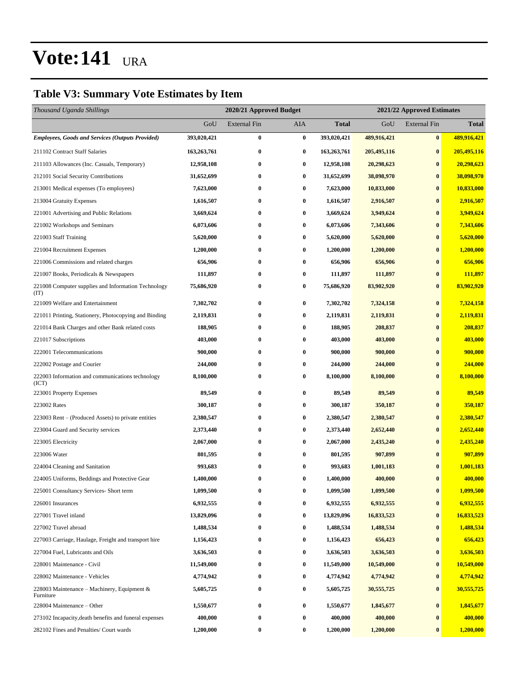#### **Table V3: Summary Vote Estimates by Item**

| Thousand Uganda Shillings                                   |             | 2020/21 Approved Budget |                  |              | 2021/22 Approved Estimates |                     |              |  |
|-------------------------------------------------------------|-------------|-------------------------|------------------|--------------|----------------------------|---------------------|--------------|--|
|                                                             | GoU         | <b>External Fin</b>     | AIA              | <b>Total</b> | GoU                        | <b>External Fin</b> | <b>Total</b> |  |
| <b>Employees, Goods and Services (Outputs Provided)</b>     | 393,020,421 | $\bf{0}$                | $\bf{0}$         | 393,020,421  | 489,916,421                | $\bf{0}$            | 489,916,421  |  |
| 211102 Contract Staff Salaries                              | 163,263,761 | 0                       | $\bf{0}$         | 163,263,761  | 205,495,116                | $\bf{0}$            | 205,495,116  |  |
| 211103 Allowances (Inc. Casuals, Temporary)                 | 12,958,108  | 0                       | $\bf{0}$         | 12,958,108   | 20,298,623                 | $\bf{0}$            | 20,298,623   |  |
| 212101 Social Security Contributions                        | 31,652,699  | $\bf{0}$                | $\bf{0}$         | 31,652,699   | 38,098,970                 | $\bf{0}$            | 38,098,970   |  |
| 213001 Medical expenses (To employees)                      | 7,623,000   | 0                       | $\bf{0}$         | 7,623,000    | 10,833,000                 | $\bf{0}$            | 10,833,000   |  |
| 213004 Gratuity Expenses                                    | 1,616,507   | $\bf{0}$                | $\bf{0}$         | 1,616,507    | 2,916,507                  | $\bf{0}$            | 2,916,507    |  |
| 221001 Advertising and Public Relations                     | 3,669,624   | 0                       | 0                | 3,669,624    | 3,949,624                  | $\bf{0}$            | 3,949,624    |  |
| 221002 Workshops and Seminars                               | 6,073,606   | 0                       | $\bf{0}$         | 6,073,606    | 7,343,606                  | $\bf{0}$            | 7,343,606    |  |
| 221003 Staff Training                                       | 5,620,000   | $\bf{0}$                | $\bf{0}$         | 5,620,000    | 5,620,000                  | $\bf{0}$            | 5,620,000    |  |
| 221004 Recruitment Expenses                                 | 1,200,000   | 0                       | $\bf{0}$         | 1,200,000    | 1,200,000                  | $\bf{0}$            | 1,200,000    |  |
| 221006 Commissions and related charges                      | 656,906     | $\bf{0}$                | $\bf{0}$         | 656,906      | 656,906                    | $\bf{0}$            | 656,906      |  |
| 221007 Books, Periodicals & Newspapers                      | 111,897     | 0                       | 0                | 111,897      | 111,897                    | $\bf{0}$            | 111,897      |  |
| 221008 Computer supplies and Information Technology<br>(TT) | 75,686,920  | 0                       | $\bf{0}$         | 75,686,920   | 83,902,920                 | $\bf{0}$            | 83,902,920   |  |
| 221009 Welfare and Entertainment                            | 7,302,702   | 0                       | $\bf{0}$         | 7,302,702    | 7,324,158                  | $\bf{0}$            | 7,324,158    |  |
| 221011 Printing, Stationery, Photocopying and Binding       | 2,119,831   | $\bf{0}$                | $\bf{0}$         | 2,119,831    | 2,119,831                  | $\bf{0}$            | 2,119,831    |  |
| 221014 Bank Charges and other Bank related costs            | 188,905     | 0                       | $\bf{0}$         | 188,905      | 208,837                    | $\bf{0}$            | 208,837      |  |
| 221017 Subscriptions                                        | 403,000     | $\bf{0}$                | $\bf{0}$         | 403,000      | 403,000                    | $\bf{0}$            | 403,000      |  |
| 222001 Telecommunications                                   | 900,000     | $\bf{0}$                | $\bf{0}$         | 900,000      | 900,000                    | $\bf{0}$            | 900,000      |  |
| 222002 Postage and Courier                                  | 244,000     | 0                       | $\bf{0}$         | 244,000      | 244,000                    | $\bf{0}$            | 244,000      |  |
| 222003 Information and communications technology<br>(ICT)   | 8,100,000   | $\bf{0}$                | $\bf{0}$         | 8,100,000    | 8,100,000                  | $\bf{0}$            | 8,100,000    |  |
| 223001 Property Expenses                                    | 89,549      | $\bf{0}$                | $\bf{0}$         | 89,549       | 89,549                     | $\bf{0}$            | 89,549       |  |
| 223002 Rates                                                | 300,187     | 0                       | $\bf{0}$         | 300,187      | 350,187                    | $\bf{0}$            | 350,187      |  |
| 223003 Rent - (Produced Assets) to private entities         | 2,380,547   | $\bf{0}$                | 0                | 2,380,547    | 2,380,547                  | $\bf{0}$            | 2,380,547    |  |
| 223004 Guard and Security services                          | 2,373,440   | 0                       | $\bf{0}$         | 2,373,440    | 2,652,440                  | $\bf{0}$            | 2,652,440    |  |
| 223005 Electricity                                          | 2,067,000   | 0                       | $\bf{0}$         | 2,067,000    | 2,435,240                  | $\bf{0}$            | 2,435,240    |  |
| 223006 Water                                                | 801,595     | $\bf{0}$                | $\bf{0}$         | 801,595      | 907,899                    | $\bf{0}$            | 907,899      |  |
| 224004 Cleaning and Sanitation                              | 993,683     | 0                       | $\bf{0}$         | 993,683      | 1,001,183                  | $\mathbf{0}$        | 1,001,183    |  |
| 224005 Uniforms, Beddings and Protective Gear               | 1,400,000   | $\bf{0}$                | $\bf{0}$         | 1,400,000    | 400,000                    | $\bf{0}$            | 400,000      |  |
| 225001 Consultancy Services- Short term                     | 1,099,500   | 0                       | $\bf{0}$         | 1,099,500    | 1,099,500                  | $\boldsymbol{0}$    | 1,099,500    |  |
| 226001 Insurances                                           | 6,932,555   | 0                       | 0                | 6,932,555    | 6,932,555                  | $\bf{0}$            | 6,932,555    |  |
| 227001 Travel inland                                        | 13,829,096  | $\bf{0}$                | $\bf{0}$         | 13,829,096   | 16,833,523                 | $\bf{0}$            | 16,833,523   |  |
| 227002 Travel abroad                                        | 1,488,534   | 0                       | $\bf{0}$         | 1,488,534    | 1,488,534                  | $\bf{0}$            | 1,488,534    |  |
| 227003 Carriage, Haulage, Freight and transport hire        | 1,156,423   | $\bf{0}$                | $\bf{0}$         | 1,156,423    | 656,423                    | $\boldsymbol{0}$    | 656,423      |  |
| 227004 Fuel, Lubricants and Oils                            | 3,636,503   | $\bf{0}$                | 0                | 3,636,503    | 3,636,503                  | $\bf{0}$            | 3,636,503    |  |
| 228001 Maintenance - Civil                                  | 11,549,000  | 0                       | $\boldsymbol{0}$ | 11,549,000   | 10,549,000                 | $\bf{0}$            | 10,549,000   |  |
| 228002 Maintenance - Vehicles                               | 4,774,942   | $\bf{0}$                | $\bf{0}$         | 4,774,942    | 4,774,942                  | $\boldsymbol{0}$    | 4,774,942    |  |
| 228003 Maintenance - Machinery, Equipment &<br>Furniture    | 5,605,725   | 0                       | $\bf{0}$         | 5,605,725    | 30, 555, 725               | $\bf{0}$            | 30,555,725   |  |
| 228004 Maintenance - Other                                  | 1,550,677   | $\bf{0}$                | $\bf{0}$         | 1,550,677    | 1,845,677                  | $\bf{0}$            | 1,845,677    |  |
| 273102 Incapacity, death benefits and funeral expenses      | 400,000     | $\bf{0}$                | $\bf{0}$         | 400,000      | 400,000                    | $\bf{0}$            | 400,000      |  |
| 282102 Fines and Penalties/ Court wards                     | 1,200,000   | $\bf{0}$                | 0                | 1,200,000    | 1,200,000                  | $\bf{0}$            | 1,200,000    |  |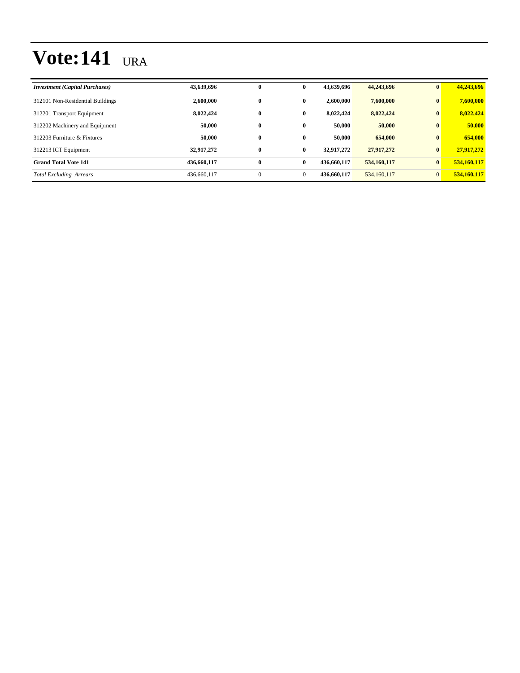| <b>Investment</b> (Capital Purchases) | 43,639,696  | $\bf{0}$     | $\bf{0}$     | 43,639,696  | 44,243,696  | $\mathbf{0}$   | 44,243,696  |
|---------------------------------------|-------------|--------------|--------------|-------------|-------------|----------------|-------------|
| 312101 Non-Residential Buildings      | 2,600,000   | $\bf{0}$     | $\mathbf{0}$ | 2,600,000   | 7,600,000   | $\bf{0}$       | 7,600,000   |
| 312201 Transport Equipment            | 8,022,424   | $\bf{0}$     | $\bf{0}$     | 8.022.424   | 8,022,424   | $\bf{0}$       | 8,022,424   |
| 312202 Machinery and Equipment        | 50,000      | $\bf{0}$     | $\mathbf{0}$ | 50,000      | 50,000      | $\mathbf{0}$   | 50,000      |
| 312203 Furniture & Fixtures           | 50,000      | $\bf{0}$     | $\mathbf{0}$ | 50,000      | 654,000     | $\mathbf{0}$   | 654,000     |
| 312213 ICT Equipment                  | 32,917,272  | $\bf{0}$     | $\bf{0}$     | 32.917.272  | 27.917.272  | $\mathbf{0}$   | 27,917,272  |
| <b>Grand Total Vote 141</b>           | 436,660,117 | $\bf{0}$     | $\bf{0}$     | 436,660,117 | 534,160,117 | $\mathbf{0}$   | 534,160,117 |
| <b>Total Excluding Arrears</b>        | 436,660,117 | $\mathbf{0}$ | $\mathbf{0}$ | 436,660,117 | 534,160,117 | $\overline{0}$ | 534,160,117 |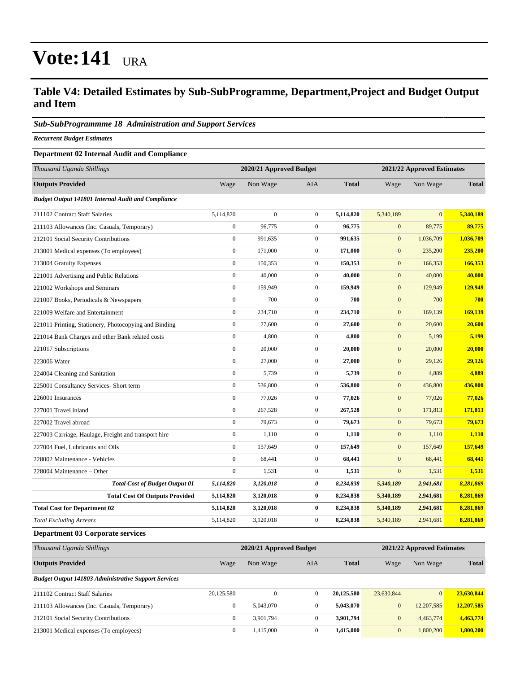#### **Table V4: Detailed Estimates by Sub-SubProgramme, Department,Project and Budget Output and Item**

#### *Sub-SubProgrammme 18 Administration and Support Services*

*Recurrent Budget Estimates*

#### **Department 02 Internal Audit and Compliance**

| Thousand Uganda Shillings                                 |                  | 2020/21 Approved Budget |                |              | 2021/22 Approved Estimates |                |              |  |
|-----------------------------------------------------------|------------------|-------------------------|----------------|--------------|----------------------------|----------------|--------------|--|
| <b>Outputs Provided</b>                                   | Wage             | Non Wage                | <b>AIA</b>     | <b>Total</b> | Wage                       | Non Wage       | <b>Total</b> |  |
| <b>Budget Output 141801 Internal Audit and Compliance</b> |                  |                         |                |              |                            |                |              |  |
| 211102 Contract Staff Salaries                            | 5,114,820        | $\mathbf{0}$            | $\overline{0}$ | 5,114,820    | 5,340,189                  | $\overline{0}$ | 5,340,189    |  |
| 211103 Allowances (Inc. Casuals, Temporary)               | $\mathbf{0}$     | 96,775                  | $\overline{0}$ | 96,775       | $\mathbf{0}$               | 89,775         | 89,775       |  |
| 212101 Social Security Contributions                      | $\boldsymbol{0}$ | 991,635                 | $\overline{0}$ | 991,635      | $\mathbf{0}$               | 1,036,709      | 1,036,709    |  |
| 213001 Medical expenses (To employees)                    | $\boldsymbol{0}$ | 171,000                 | $\overline{0}$ | 171,000      | $\mathbf{0}$               | 235,200        | 235,200      |  |
| 213004 Gratuity Expenses                                  | $\boldsymbol{0}$ | 150,353                 | $\overline{0}$ | 150,353      | $\mathbf{0}$               | 166,353        | 166,353      |  |
| 221001 Advertising and Public Relations                   | $\mathbf{0}$     | 40,000                  | $\overline{0}$ | 40,000       | $\mathbf{0}$               | 40,000         | 40,000       |  |
| 221002 Workshops and Seminars                             | $\mathbf{0}$     | 159,949                 | $\overline{0}$ | 159,949      | $\mathbf{0}$               | 129,949        | 129,949      |  |
| 221007 Books, Periodicals & Newspapers                    | $\mathbf{0}$     | 700                     | $\overline{0}$ | 700          | $\mathbf{0}$               | 700            | 700          |  |
| 221009 Welfare and Entertainment                          | $\mathbf{0}$     | 234,710                 | $\overline{0}$ | 234,710      | $\mathbf{0}$               | 169,139        | 169,139      |  |
| 221011 Printing, Stationery, Photocopying and Binding     | $\mathbf{0}$     | 27,600                  | $\overline{0}$ | 27,600       | $\mathbf{0}$               | 20,600         | 20,600       |  |
| 221014 Bank Charges and other Bank related costs          | $\boldsymbol{0}$ | 4,800                   | $\overline{0}$ | 4,800        | $\mathbf{0}$               | 5,199          | 5,199        |  |
| 221017 Subscriptions                                      | $\boldsymbol{0}$ | 20,000                  | $\overline{0}$ | 20,000       | $\mathbf{0}$               | 20,000         | 20,000       |  |
| 223006 Water                                              | $\mathbf{0}$     | 27,000                  | $\overline{0}$ | 27,000       | $\mathbf{0}$               | 29,126         | 29,126       |  |
| 224004 Cleaning and Sanitation                            | $\mathbf{0}$     | 5,739                   | $\overline{0}$ | 5,739        | $\mathbf{0}$               | 4,889          | 4,889        |  |
| 225001 Consultancy Services- Short term                   | $\mathbf{0}$     | 536,800                 | $\overline{0}$ | 536,800      | $\mathbf{0}$               | 436,800        | 436,800      |  |
| 226001 Insurances                                         | $\mathbf{0}$     | 77,026                  | $\overline{0}$ | 77,026       | $\mathbf{0}$               | 77,026         | 77,026       |  |
| 227001 Travel inland                                      | $\mathbf{0}$     | 267,528                 | $\mathbf{0}$   | 267,528      | $\mathbf{0}$               | 171,813        | 171,813      |  |
| 227002 Travel abroad                                      | $\mathbf{0}$     | 79,673                  | $\overline{0}$ | 79,673       | $\mathbf{0}$               | 79,673         | 79,673       |  |
| 227003 Carriage, Haulage, Freight and transport hire      | $\mathbf{0}$     | 1,110                   | $\mathbf{0}$   | 1,110        | $\mathbf{0}$               | 1,110          | 1,110        |  |
| 227004 Fuel, Lubricants and Oils                          | $\mathbf{0}$     | 157,649                 | $\overline{0}$ | 157,649      | $\mathbf{0}$               | 157,649        | 157,649      |  |
| 228002 Maintenance - Vehicles                             | $\mathbf{0}$     | 68,441                  | $\mathbf{0}$   | 68,441       | $\mathbf{0}$               | 68,441         | 68,441       |  |
| 228004 Maintenance – Other                                | $\mathbf{0}$     | 1,531                   | $\overline{0}$ | 1,531        | $\mathbf{0}$               | 1,531          | 1,531        |  |
| <b>Total Cost of Budget Output 01</b>                     | 5,114,820        | 3,120,018               | 0              | 8,234,838    | 5,340,189                  | 2,941,681      | 8,281,869    |  |
| <b>Total Cost Of Outputs Provided</b>                     | 5,114,820        | 3,120,018               | $\bf{0}$       | 8,234,838    | 5,340,189                  | 2,941,681      | 8,281,869    |  |
| <b>Total Cost for Department 02</b>                       | 5,114,820        | 3,120,018               | $\bf{0}$       | 8,234,838    | 5,340,189                  | 2,941,681      | 8,281,869    |  |
| <b>Total Excluding Arrears</b>                            | 5,114,820        | 3,120,018               | $\mathbf{0}$   | 8,234,838    | 5,340,189                  | 2,941,681      | 8,281,869    |  |

#### **Department 03 Corporate services**

| Thousand Uganda Shillings                                   |              | 2020/21 Approved Budget | 2021/22 Approved Estimates |              |              |                |              |
|-------------------------------------------------------------|--------------|-------------------------|----------------------------|--------------|--------------|----------------|--------------|
| <b>Outputs Provided</b>                                     | Wage         | Non Wage                | AIA                        | <b>Total</b> | Wage         | Non Wage       | <b>Total</b> |
| <b>Budget Output 141803 Administrative Support Services</b> |              |                         |                            |              |              |                |              |
| 211102 Contract Staff Salaries                              | 20,125,580   | 0                       | $\mathbf{0}$               | 20,125,580   | 23.630.844   | $\overline{0}$ | 23,630,844   |
| 211103 Allowances (Inc. Casuals, Temporary)                 | $\mathbf{0}$ | 5.043.070               | $\mathbf{0}$               | 5.043.070    | $\mathbf{0}$ | 12,207,585     | 12,207,585   |
| 212101 Social Security Contributions                        | $\mathbf{0}$ | 3.901.794               | $\mathbf{0}$               | 3.901.794    | $\mathbf{0}$ | 4,463,774      | 4,463,774    |
| 213001 Medical expenses (To employees)                      | $\mathbf{0}$ | 1.415.000               | $\mathbf{0}$               | 1.415,000    | $\mathbf{0}$ | 1,800,200      | 1.800.200    |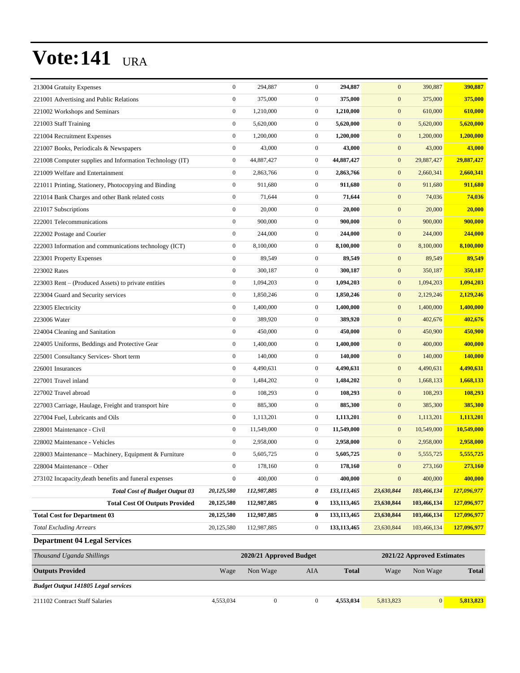| 213004 Gratuity Expenses                                 | $\boldsymbol{0}$ | 294,887     | $\mathbf{0}$     | 294,887       | $\mathbf{0}$     | 390,887     | 390,887     |
|----------------------------------------------------------|------------------|-------------|------------------|---------------|------------------|-------------|-------------|
| 221001 Advertising and Public Relations                  | $\boldsymbol{0}$ | 375,000     | $\mathbf{0}$     | 375,000       | $\boldsymbol{0}$ | 375,000     | 375,000     |
| 221002 Workshops and Seminars                            | $\boldsymbol{0}$ | 1,210,000   | $\mathbf{0}$     | 1,210,000     | $\mathbf{0}$     | 610,000     | 610,000     |
| 221003 Staff Training                                    | $\boldsymbol{0}$ | 5,620,000   | $\mathbf{0}$     | 5,620,000     | $\mathbf{0}$     | 5,620,000   | 5,620,000   |
| 221004 Recruitment Expenses                              | $\boldsymbol{0}$ | 1,200,000   | $\mathbf{0}$     | 1,200,000     | $\mathbf{0}$     | 1,200,000   | 1,200,000   |
| 221007 Books, Periodicals & Newspapers                   | $\boldsymbol{0}$ | 43,000      | $\mathbf{0}$     | 43,000        | $\mathbf{0}$     | 43,000      | 43,000      |
| 221008 Computer supplies and Information Technology (IT) | $\boldsymbol{0}$ | 44,887,427  | $\mathbf{0}$     | 44,887,427    | $\mathbf{0}$     | 29,887,427  | 29,887,427  |
| 221009 Welfare and Entertainment                         | $\boldsymbol{0}$ | 2,863,766   | $\mathbf{0}$     | 2,863,766     | $\mathbf{0}$     | 2,660,341   | 2,660,341   |
| 221011 Printing, Stationery, Photocopying and Binding    | $\boldsymbol{0}$ | 911,680     | $\mathbf{0}$     | 911,680       | $\mathbf{0}$     | 911,680     | 911,680     |
| 221014 Bank Charges and other Bank related costs         | $\boldsymbol{0}$ | 71,644      | $\mathbf{0}$     | 71,644        | $\mathbf{0}$     | 74,036      | 74,036      |
| 221017 Subscriptions                                     | $\boldsymbol{0}$ | 20,000      | $\mathbf{0}$     | 20,000        | $\mathbf{0}$     | 20,000      | 20,000      |
| 222001 Telecommunications                                | $\boldsymbol{0}$ | 900,000     | $\boldsymbol{0}$ | 900,000       | $\mathbf{0}$     | 900,000     | 900,000     |
| 222002 Postage and Courier                               | $\boldsymbol{0}$ | 244,000     | $\mathbf{0}$     | 244,000       | $\mathbf{0}$     | 244,000     | 244,000     |
| 222003 Information and communications technology (ICT)   | $\boldsymbol{0}$ | 8,100,000   | $\mathbf{0}$     | 8,100,000     | $\mathbf{0}$     | 8,100,000   | 8,100,000   |
| 223001 Property Expenses                                 | $\boldsymbol{0}$ | 89,549      | $\mathbf{0}$     | 89,549        | $\mathbf{0}$     | 89,549      | 89,549      |
| 223002 Rates                                             | $\boldsymbol{0}$ | 300,187     | $\mathbf{0}$     | 300,187       | $\mathbf{0}$     | 350,187     | 350,187     |
| 223003 Rent – (Produced Assets) to private entities      | $\boldsymbol{0}$ | 1,094,203   | $\mathbf{0}$     | 1,094,203     | $\mathbf{0}$     | 1,094,203   | 1,094,203   |
| 223004 Guard and Security services                       | $\boldsymbol{0}$ | 1,850,246   | $\mathbf{0}$     | 1,850,246     | $\mathbf{0}$     | 2,129,246   | 2,129,246   |
| 223005 Electricity                                       | $\boldsymbol{0}$ | 1,400,000   | $\mathbf{0}$     | 1,400,000     | $\mathbf{0}$     | 1,400,000   | 1,400,000   |
| 223006 Water                                             | $\boldsymbol{0}$ | 389,920     | $\mathbf{0}$     | 389,920       | $\mathbf{0}$     | 402,676     | 402,676     |
| 224004 Cleaning and Sanitation                           | $\boldsymbol{0}$ | 450,000     | $\mathbf{0}$     | 450,000       | $\mathbf{0}$     | 450,900     | 450,900     |
| 224005 Uniforms, Beddings and Protective Gear            | $\boldsymbol{0}$ | 1,400,000   | $\mathbf{0}$     | 1,400,000     | $\mathbf{0}$     | 400,000     | 400,000     |
| 225001 Consultancy Services- Short term                  | $\boldsymbol{0}$ | 140,000     | $\mathbf{0}$     | 140,000       | $\mathbf{0}$     | 140,000     | 140,000     |
| 226001 Insurances                                        | $\boldsymbol{0}$ | 4,490,631   | $\mathbf{0}$     | 4,490,631     | $\mathbf{0}$     | 4,490,631   | 4,490,631   |
| 227001 Travel inland                                     | $\boldsymbol{0}$ | 1,484,202   | $\mathbf{0}$     | 1,484,202     | $\mathbf{0}$     | 1,668,133   | 1,668,133   |
| 227002 Travel abroad                                     | $\boldsymbol{0}$ | 108,293     | $\mathbf{0}$     | 108,293       | $\mathbf{0}$     | 108,293     | 108,293     |
| 227003 Carriage, Haulage, Freight and transport hire     | $\boldsymbol{0}$ | 885,300     | $\mathbf{0}$     | 885,300       | $\mathbf{0}$     | 385,300     | 385,300     |
| 227004 Fuel. Lubricants and Oils                         | $\boldsymbol{0}$ | 1,113,201   | $\mathbf{0}$     | 1,113,201     | $\mathbf{0}$     | 1,113,201   | 1,113,201   |
| 228001 Maintenance - Civil                               | $\boldsymbol{0}$ | 11,549,000  | $\mathbf{0}$     | 11,549,000    | $\mathbf{0}$     | 10,549,000  | 10,549,000  |
| 228002 Maintenance - Vehicles                            | $\boldsymbol{0}$ | 2,958,000   | $\mathbf{0}$     | 2,958,000     | $\mathbf{0}$     | 2,958,000   | 2,958,000   |
| 228003 Maintenance - Machinery, Equipment & Furniture    | $\Omega$         | 5,605,725   | $\Omega$         | 5,605,725     | $\boldsymbol{0}$ | 5,555,725   | 5,555,725   |
| 228004 Maintenance – Other                               | $\boldsymbol{0}$ | 178,160     | $\boldsymbol{0}$ | 178,160       | $\boldsymbol{0}$ | 273,160     | 273,160     |
| 273102 Incapacity, death benefits and funeral expenses   | $\boldsymbol{0}$ | 400,000     | $\boldsymbol{0}$ | 400,000       | $\boldsymbol{0}$ | 400,000     | 400,000     |
| <b>Total Cost of Budget Output 03</b>                    | 20,125,580       | 112,987,885 | 0                | 133,113,465   | 23,630,844       | 103,466,134 | 127,096,977 |
| <b>Total Cost Of Outputs Provided</b>                    | 20,125,580       | 112,987,885 | $\bf{0}$         | 133, 113, 465 | 23,630,844       | 103,466,134 | 127,096,977 |
| <b>Total Cost for Department 03</b>                      | 20,125,580       | 112,987,885 | $\bf{0}$         | 133,113,465   | 23,630,844       | 103,466,134 | 127,096,977 |
| <b>Total Excluding Arrears</b>                           | 20,125,580       | 112,987,885 | $\boldsymbol{0}$ | 133, 113, 465 | 23,630,844       | 103,466,134 | 127,096,977 |
| <b>Department 04 Legal Services</b>                      |                  |             |                  |               |                  |             |             |

| Thousand Uganda Shillings                  |           | 2020/21 Approved Budget | 2021/22 Approved Estimates |              |           |              |              |
|--------------------------------------------|-----------|-------------------------|----------------------------|--------------|-----------|--------------|--------------|
| <b>Outputs Provided</b>                    | Wage      | Non Wage                | AIA                        | <b>Total</b> | Wage      | Non Wage     | <b>Total</b> |
| <b>Budget Output 141805 Legal services</b> |           |                         |                            |              |           |              |              |
| 211102 Contract Staff Salaries             | 4,553,034 |                         |                            | 4.553,034    | 5,813,823 | $\mathbf{0}$ | 5.813.823    |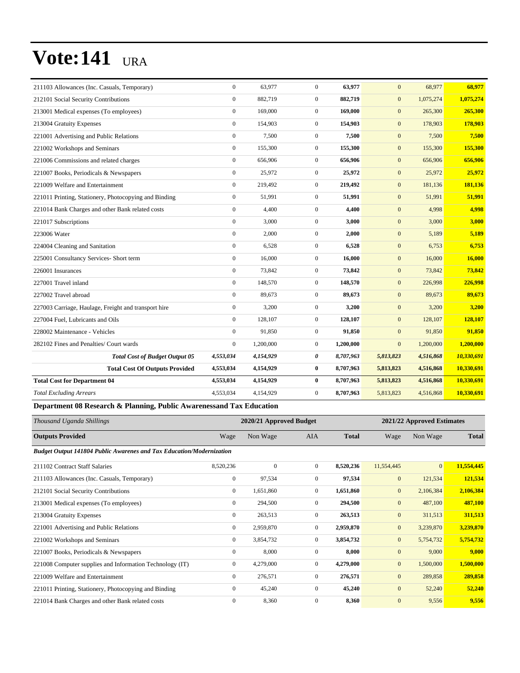| 211103 Allowances (Inc. Casuals, Temporary)           | $\mathbf{0}$     | 63.977    | $\overline{0}$   | 63,977    | $\mathbf{0}$ | 68,977    | 68,977     |
|-------------------------------------------------------|------------------|-----------|------------------|-----------|--------------|-----------|------------|
| 212101 Social Security Contributions                  | $\mathbf{0}$     | 882,719   | $\overline{0}$   | 882,719   | $\mathbf{0}$ | 1,075,274 | 1,075,274  |
| 213001 Medical expenses (To employees)                | $\mathbf{0}$     | 169,000   | $\overline{0}$   | 169,000   | $\mathbf{0}$ | 265,300   | 265,300    |
| 213004 Gratuity Expenses                              | $\mathbf{0}$     | 154,903   | $\overline{0}$   | 154,903   | $\mathbf{0}$ | 178,903   | 178,903    |
| 221001 Advertising and Public Relations               | $\mathbf{0}$     | 7,500     | $\boldsymbol{0}$ | 7,500     | $\mathbf{0}$ | 7,500     | 7,500      |
| 221002 Workshops and Seminars                         | $\boldsymbol{0}$ | 155,300   | $\boldsymbol{0}$ | 155,300   | $\mathbf{0}$ | 155,300   | 155,300    |
| 221006 Commissions and related charges                | $\boldsymbol{0}$ | 656,906   | $\boldsymbol{0}$ | 656,906   | $\mathbf{0}$ | 656,906   | 656,906    |
| 221007 Books, Periodicals & Newspapers                | $\mathbf{0}$     | 25,972    | $\boldsymbol{0}$ | 25,972    | $\mathbf{0}$ | 25,972    | 25,972     |
| 221009 Welfare and Entertainment                      | $\boldsymbol{0}$ | 219,492   | $\boldsymbol{0}$ | 219,492   | $\mathbf{0}$ | 181,136   | 181,136    |
| 221011 Printing, Stationery, Photocopying and Binding | $\mathbf{0}$     | 51,991    | $\overline{0}$   | 51,991    | $\mathbf{0}$ | 51,991    | 51,991     |
| 221014 Bank Charges and other Bank related costs      | $\mathbf{0}$     | 4,400     | $\mathbf{0}$     | 4,400     | $\mathbf{0}$ | 4,998     | 4,998      |
| 221017 Subscriptions                                  | $\mathbf{0}$     | 3,000     | $\overline{0}$   | 3,000     | $\mathbf{0}$ | 3,000     | 3,000      |
| 223006 Water                                          | $\mathbf{0}$     | 2,000     | $\boldsymbol{0}$ | 2,000     | $\mathbf{0}$ | 5,189     | 5,189      |
| 224004 Cleaning and Sanitation                        | $\mathbf{0}$     | 6,528     | $\overline{0}$   | 6,528     | $\mathbf{0}$ | 6,753     | 6,753      |
| 225001 Consultancy Services- Short term               | $\mathbf{0}$     | 16,000    | $\overline{0}$   | 16,000    | $\mathbf{0}$ | 16,000    | 16,000     |
| 226001 Insurances                                     | $\mathbf{0}$     | 73,842    | $\overline{0}$   | 73,842    | $\mathbf{0}$ | 73,842    | 73,842     |
| 227001 Travel inland                                  | $\mathbf{0}$     | 148,570   | $\overline{0}$   | 148,570   | $\mathbf{0}$ | 226,998   | 226,998    |
| 227002 Travel abroad                                  | $\mathbf{0}$     | 89,673    | $\mathbf{0}$     | 89,673    | $\mathbf{0}$ | 89,673    | 89,673     |
| 227003 Carriage, Haulage, Freight and transport hire  | $\boldsymbol{0}$ | 3,200     | $\boldsymbol{0}$ | 3,200     | $\mathbf{0}$ | 3,200     | 3,200      |
| 227004 Fuel, Lubricants and Oils                      | $\mathbf{0}$     | 128,107   | $\overline{0}$   | 128,107   | $\mathbf{0}$ | 128,107   | 128,107    |
| 228002 Maintenance - Vehicles                         | $\mathbf{0}$     | 91.850    | $\overline{0}$   | 91,850    | $\mathbf{0}$ | 91,850    | 91,850     |
| 282102 Fines and Penalties/ Court wards               | $\mathbf{0}$     | 1,200,000 | $\overline{0}$   | 1,200,000 | $\mathbf{0}$ | 1,200,000 | 1,200,000  |
| <b>Total Cost of Budget Output 05</b>                 | 4,553,034        | 4,154,929 | 0                | 8,707,963 | 5,813,823    | 4,516,868 | 10,330,691 |
| <b>Total Cost Of Outputs Provided</b>                 | 4,553,034        | 4,154,929 | $\bf{0}$         | 8,707,963 | 5,813,823    | 4,516,868 | 10,330,691 |
| <b>Total Cost for Department 04</b>                   | 4,553,034        | 4,154,929 | $\bf{0}$         | 8,707,963 | 5,813,823    | 4,516,868 | 10,330,691 |
| <b>Total Excluding Arrears</b>                        | 4,553,034        | 4,154,929 | $\overline{0}$   | 8,707,963 | 5,813,823    | 4,516,868 | 10,330,691 |

#### **Department 08 Research & Planning, Public Awarenessand Tax Education**

| Thousand Uganda Shillings                                                   |                  | 2020/21 Approved Budget |              |              | 2021/22 Approved Estimates |              |              |  |
|-----------------------------------------------------------------------------|------------------|-------------------------|--------------|--------------|----------------------------|--------------|--------------|--|
| <b>Outputs Provided</b>                                                     | Wage             | Non Wage                | AIA          | <b>Total</b> | Wage                       | Non Wage     | <b>Total</b> |  |
| <b>Budget Output 141804 Public Awarenes and Tax Education/Modernization</b> |                  |                         |              |              |                            |              |              |  |
| 211102 Contract Staff Salaries                                              | 8,520,236        | $\mathbf{0}$            | $\mathbf{0}$ | 8,520,236    | 11,554,445                 | $\mathbf{0}$ | 11,554,445   |  |
| 211103 Allowances (Inc. Casuals, Temporary)                                 | $\boldsymbol{0}$ | 97,534                  | $\mathbf{0}$ | 97,534       | $\mathbf{0}$               | 121,534      | 121,534      |  |
| 212101 Social Security Contributions                                        | $\mathbf{0}$     | 1,651,860               | $\mathbf{0}$ | 1,651,860    | $\mathbf{0}$               | 2,106,384    | 2,106,384    |  |
| 213001 Medical expenses (To employees)                                      | $\mathbf{0}$     | 294,500                 | $\Omega$     | 294,500      | $\mathbf{0}$               | 487,100      | 487,100      |  |
| 213004 Gratuity Expenses                                                    | $\mathbf{0}$     | 263,513                 | $\mathbf{0}$ | 263,513      | $\mathbf{0}$               | 311,513      | 311,513      |  |
| 221001 Advertising and Public Relations                                     | $\mathbf{0}$     | 2,959,870               | $\mathbf{0}$ | 2,959,870    | $\mathbf{0}$               | 3,239,870    | 3,239,870    |  |
| 221002 Workshops and Seminars                                               | $\mathbf{0}$     | 3,854,732               | $\Omega$     | 3,854,732    | $\mathbf{0}$               | 5,754,732    | 5,754,732    |  |
| 221007 Books, Periodicals & Newspapers                                      | $\mathbf{0}$     | 8,000                   | $\mathbf{0}$ | 8,000        | $\mathbf{0}$               | 9,000        | 9,000        |  |
| 221008 Computer supplies and Information Technology (IT)                    | $\mathbf{0}$     | 4,279,000               | $\mathbf{0}$ | 4,279,000    | $\boldsymbol{0}$           | 1,500,000    | 1,500,000    |  |
| 221009 Welfare and Entertainment                                            | $\mathbf{0}$     | 276,571                 | $\mathbf{0}$ | 276,571      | $\mathbf{0}$               | 289,858      | 289,858      |  |
| 221011 Printing, Stationery, Photocopying and Binding                       | $\mathbf{0}$     | 45,240                  | $\mathbf{0}$ | 45,240       | $\mathbf{0}$               | 52,240       | 52,240       |  |
| 221014 Bank Charges and other Bank related costs                            | $\mathbf{0}$     | 8,360                   | $\mathbf{0}$ | 8,360        | $\overline{0}$             | 9,556        | 9,556        |  |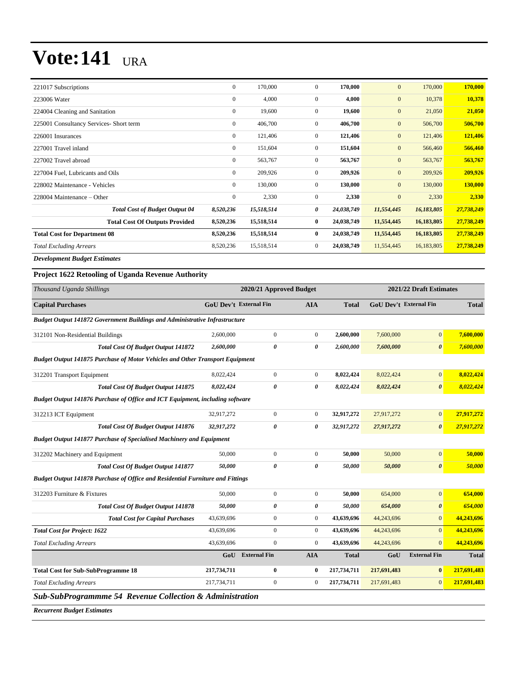| 221017 Subscriptions                    | $\mathbf{0}$     | 170,000    | $\mathbf{0}$   | 170,000    | $\mathbf{0}$ | 170,000    | 170,000        |
|-----------------------------------------|------------------|------------|----------------|------------|--------------|------------|----------------|
| 223006 Water                            | $\boldsymbol{0}$ | 4,000      | 0              | 4,000      | $\mathbf{0}$ | 10,378     | 10,378         |
| 224004 Cleaning and Sanitation          | $\mathbf{0}$     | 19,600     | $\overline{0}$ | 19,600     | $\mathbf{0}$ | 21,050     | 21,050         |
| 225001 Consultancy Services- Short term | $\mathbf{0}$     | 406,700    | $\overline{0}$ | 406,700    | $\mathbf{0}$ | 506,700    | 506,700        |
| 226001 Insurances                       | $\overline{0}$   | 121,406    | $\overline{0}$ | 121,406    | $\mathbf{0}$ | 121,406    | 121,406        |
| 227001 Travel inland                    | $\mathbf{0}$     | 151,604    | $\overline{0}$ | 151,604    | $\mathbf{0}$ | 566,460    | 566,460        |
| 227002 Travel abroad                    | $\mathbf{0}$     | 563,767    | $\overline{0}$ | 563,767    | $\mathbf{0}$ | 563,767    | 563,767        |
| 227004 Fuel, Lubricants and Oils        | $\mathbf{0}$     | 209,926    | $\overline{0}$ | 209,926    | $\mathbf{0}$ | 209,926    | 209,926        |
| 228002 Maintenance - Vehicles           | $\mathbf{0}$     | 130,000    | $\overline{0}$ | 130,000    | $\mathbf{0}$ | 130,000    | <b>130,000</b> |
| 228004 Maintenance – Other              | $\boldsymbol{0}$ | 2,330      | $\overline{0}$ | 2,330      | $\mathbf{0}$ | 2,330      | 2,330          |
| <b>Total Cost of Budget Output 04</b>   | 8,520,236        | 15,518,514 | 0              | 24,038,749 | 11,554,445   | 16,183,805 | 27,738,249     |
| <b>Total Cost Of Outputs Provided</b>   | 8,520,236        | 15,518,514 | $\bf{0}$       | 24,038,749 | 11,554,445   | 16,183,805 | 27,738,249     |
| <b>Total Cost for Department 08</b>     | 8,520,236        | 15,518,514 | $\bf{0}$       | 24,038,749 | 11,554,445   | 16,183,805 | 27,738,249     |
| <b>Total Excluding Arrears</b>          | 8,520,236        | 15,518,514 | $\overline{0}$ | 24,038,749 | 11,554,445   | 16,183,805 | 27,738,249     |
| .                                       |                  |            |                |            |              |            |                |

*Development Budget Estimates*

#### **Project 1622 Retooling of Uganda Revenue Authority**

| Thousand Uganda Shillings                                                            |                               | 2020/21 Approved Budget |                  |              |                               | 2021/22 Draft Estimates |              |
|--------------------------------------------------------------------------------------|-------------------------------|-------------------------|------------------|--------------|-------------------------------|-------------------------|--------------|
| <b>Capital Purchases</b>                                                             | <b>GoU Dev't External Fin</b> |                         | <b>AIA</b>       | <b>Total</b> | <b>GoU Dev't External Fin</b> |                         | <b>Total</b> |
| <b>Budget Output 141872 Government Buildings and Administrative Infrastructure</b>   |                               |                         |                  |              |                               |                         |              |
| 312101 Non-Residential Buildings                                                     | 2,600,000                     | $\boldsymbol{0}$        | $\overline{0}$   | 2,600,000    | 7,600,000                     | $\mathbf{0}$            | 7,600,000    |
| <b>Total Cost Of Budget Output 141872</b>                                            | 2,600,000                     | 0                       | 0                | 2,600,000    | 7,600,000                     | $\boldsymbol{\theta}$   | 7,600,000    |
| <b>Budget Output 141875 Purchase of Motor Vehicles and Other Transport Equipment</b> |                               |                         |                  |              |                               |                         |              |
| 312201 Transport Equipment                                                           | 8,022,424                     | $\mathbf{0}$            | $\overline{0}$   | 8,022,424    | 8,022,424                     | $\mathbf{0}$            | 8,022,424    |
| <b>Total Cost Of Budget Output 141875</b>                                            | 8,022,424                     | $\theta$                | 0                | 8,022,424    | 8,022,424                     | $\boldsymbol{\theta}$   | 8,022,424    |
| Budget Output 141876 Purchase of Office and ICT Equipment, including software        |                               |                         |                  |              |                               |                         |              |
| 312213 ICT Equipment                                                                 | 32,917,272                    | $\mathbf{0}$            | $\overline{0}$   | 32,917,272   | 27,917,272                    | $\mathbf{0}$            | 27,917,272   |
| <b>Total Cost Of Budget Output 141876</b>                                            | 32,917,272                    | $\theta$                | 0                | 32,917,272   | 27,917,272                    | $\boldsymbol{\theta}$   | 27,917,272   |
| <b>Budget Output 141877 Purchase of Specialised Machinery and Equipment</b>          |                               |                         |                  |              |                               |                         |              |
| 312202 Machinery and Equipment                                                       | 50,000                        | $\mathbf{0}$            | $\overline{0}$   | 50,000       | 50,000                        | $\mathbf{0}$            | 50,000       |
| <b>Total Cost Of Budget Output 141877</b>                                            | 50,000                        | 0                       | 0                | 50,000       | 50,000                        | $\boldsymbol{\theta}$   | 50,000       |
| Budget Output 141878 Purchase of Office and Residential Furniture and Fittings       |                               |                         |                  |              |                               |                         |              |
| 312203 Furniture & Fixtures                                                          | 50,000                        | $\boldsymbol{0}$        | $\overline{0}$   | 50,000       | 654,000                       | $\mathbf{0}$            | 654,000      |
| <b>Total Cost Of Budget Output 141878</b>                                            | 50,000                        | 0                       | 0                | 50,000       | 654,000                       | $\boldsymbol{\theta}$   | 654,000      |
| <b>Total Cost for Capital Purchases</b>                                              | 43,639,696                    | $\overline{0}$          | $\overline{0}$   | 43,639,696   | 44,243,696                    | $\overline{0}$          | 44,243,696   |
| <b>Total Cost for Project: 1622</b>                                                  | 43,639,696                    | $\boldsymbol{0}$        | $\overline{0}$   | 43,639,696   | 44,243,696                    | $\mathbf{0}$            | 44,243,696   |
| <b>Total Excluding Arrears</b>                                                       | 43,639,696                    | $\boldsymbol{0}$        | $\overline{0}$   | 43,639,696   | 44,243,696                    | $\Omega$                | 44,243,696   |
|                                                                                      | GoU                           | <b>External Fin</b>     | <b>AIA</b>       | <b>Total</b> | GoU                           | <b>External Fin</b>     | <b>Total</b> |
| <b>Total Cost for Sub-SubProgramme 18</b>                                            | 217,734,711                   | $\bf{0}$                | $\bf{0}$         | 217,734,711  | 217,691,483                   | $\bf{0}$                | 217,691,483  |
| <b>Total Excluding Arrears</b>                                                       | 217,734,711                   | $\boldsymbol{0}$        | $\boldsymbol{0}$ | 217,734,711  | 217,691,483                   | $\mathbf{0}$            | 217,691,483  |
| <b>Sub-SubProgrammme 54 Revenue Collection &amp; Administration</b>                  |                               |                         |                  |              |                               |                         |              |

*Recurrent Budget Estimates*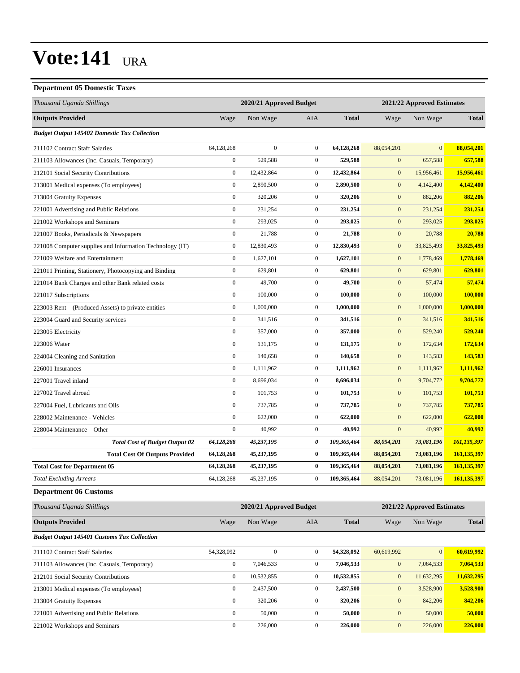#### **Department 05 Domestic Taxes**

| рератански ос ронквис талек                              |                                                       |                         |                  |                            |                  |                  |              |
|----------------------------------------------------------|-------------------------------------------------------|-------------------------|------------------|----------------------------|------------------|------------------|--------------|
| Thousand Uganda Shillings                                |                                                       | 2020/21 Approved Budget |                  | 2021/22 Approved Estimates |                  |                  |              |
| <b>Outputs Provided</b>                                  | Wage                                                  | Non Wage                | AIA              | <b>Total</b>               | Wage             | Non Wage         | <b>Total</b> |
| <b>Budget Output 145402 Domestic Tax Collection</b>      |                                                       |                         |                  |                            |                  |                  |              |
| 211102 Contract Staff Salaries                           | 64,128,268                                            | $\overline{0}$          | $\overline{0}$   | 64,128,268                 | 88,054,201       | $\mathbf{0}$     | 88,054,201   |
| 211103 Allowances (Inc. Casuals, Temporary)              | $\boldsymbol{0}$                                      | 529,588                 | $\boldsymbol{0}$ | 529,588                    | $\boldsymbol{0}$ | 657,588          | 657,588      |
| 212101 Social Security Contributions                     | $\boldsymbol{0}$                                      | 12,432,864              | $\boldsymbol{0}$ | 12,432,864                 | $\boldsymbol{0}$ | 15,956,461       | 15,956,461   |
| 213001 Medical expenses (To employees)                   | $\boldsymbol{0}$                                      | 2,890,500               | $\boldsymbol{0}$ | 2,890,500                  | $\boldsymbol{0}$ | 4,142,400        | 4,142,400    |
| 213004 Gratuity Expenses                                 | $\mathbf{0}$                                          | 320,206                 | $\boldsymbol{0}$ | 320,206                    | $\mathbf{0}$     | 882,206          | 882,206      |
| 221001 Advertising and Public Relations                  | $\boldsymbol{0}$                                      | 231,254                 | $\mathbf{0}$     | 231,254                    | $\boldsymbol{0}$ | 231,254          | 231,254      |
| 221002 Workshops and Seminars                            | $\boldsymbol{0}$                                      | 293,025                 | $\boldsymbol{0}$ | 293,025                    | $\boldsymbol{0}$ | 293,025          | 293,025      |
| 221007 Books, Periodicals & Newspapers                   | $\boldsymbol{0}$                                      | 21,788                  | $\mathbf{0}$     | 21,788                     | $\boldsymbol{0}$ | 20,788           | 20,788       |
| 221008 Computer supplies and Information Technology (IT) | $\boldsymbol{0}$                                      | 12,830,493              | $\boldsymbol{0}$ | 12,830,493                 | $\boldsymbol{0}$ | 33,825,493       | 33,825,493   |
| 221009 Welfare and Entertainment                         | $\boldsymbol{0}$                                      | 1,627,101               | $\mathbf{0}$     | 1,627,101                  | $\boldsymbol{0}$ | 1,778,469        | 1,778,469    |
| 221011 Printing, Stationery, Photocopying and Binding    | $\boldsymbol{0}$                                      | 629,801                 | $\mathbf{0}$     | 629,801                    | $\mathbf{0}$     | 629,801          | 629,801      |
| 221014 Bank Charges and other Bank related costs         | $\boldsymbol{0}$                                      | 49,700                  | $\boldsymbol{0}$ | 49,700                     | $\boldsymbol{0}$ | 57,474           | 57,474       |
| 221017 Subscriptions                                     | $\boldsymbol{0}$                                      | 100,000                 | $\mathbf{0}$     | 100,000                    | $\boldsymbol{0}$ | 100,000          | 100,000      |
| 223003 Rent – (Produced Assets) to private entities      | $\boldsymbol{0}$                                      | 1,000,000               | $\boldsymbol{0}$ | 1,000,000                  | $\boldsymbol{0}$ | 1,000,000        | 1,000,000    |
| 223004 Guard and Security services                       | $\mathbf{0}$                                          | 341,516                 | $\mathbf{0}$     | 341,516                    | $\mathbf{0}$     | 341,516          | 341,516      |
| 223005 Electricity                                       | $\boldsymbol{0}$                                      | 357,000                 | $\boldsymbol{0}$ | 357,000                    | $\mathbf{0}$     | 529,240          | 529,240      |
| 223006 Water                                             | $\boldsymbol{0}$                                      | 131,175                 | $\boldsymbol{0}$ | 131,175                    | $\boldsymbol{0}$ | 172,634          | 172,634      |
| 224004 Cleaning and Sanitation                           | $\boldsymbol{0}$                                      | 140,658                 | $\mathbf{0}$     | 140,658                    | $\boldsymbol{0}$ | 143,583          | 143,583      |
| 226001 Insurances                                        | $\boldsymbol{0}$                                      | 1,111,962               | $\boldsymbol{0}$ | 1,111,962                  | $\boldsymbol{0}$ | 1,111,962        | 1,111,962    |
| 227001 Travel inland                                     | $\mathbf{0}$                                          | 8,696,034               | $\mathbf{0}$     | 8,696,034                  | $\mathbf{0}$     | 9,704,772        | 9,704,772    |
| 227002 Travel abroad                                     | $\boldsymbol{0}$                                      | 101,753                 | $\boldsymbol{0}$ | 101,753                    | $\mathbf{0}$     | 101,753          | 101,753      |
| 227004 Fuel, Lubricants and Oils                         | $\boldsymbol{0}$                                      | 737,785                 | $\boldsymbol{0}$ | 737,785                    | $\boldsymbol{0}$ | 737,785          | 737,785      |
| 228002 Maintenance - Vehicles                            | $\boldsymbol{0}$                                      | 622,000                 | $\mathbf{0}$     | 622,000                    | $\boldsymbol{0}$ | 622,000          | 622,000      |
| 228004 Maintenance – Other                               | $\boldsymbol{0}$                                      | 40,992                  | $\boldsymbol{0}$ | 40,992                     | $\mathbf{0}$     | 40,992           | 40,992       |
| <b>Total Cost of Budget Output 02</b>                    | 64,128,268                                            | 45,237,195              | 0                | 109,365,464                | 88,054,201       | 73,081,196       | 161,135,397  |
| <b>Total Cost Of Outputs Provided</b>                    | 64,128,268                                            | 45,237,195              | $\bf{0}$         | 109,365,464                | 88,054,201       | 73,081,196       | 161,135,397  |
| <b>Total Cost for Department 05</b>                      | 64,128,268                                            | 45,237,195              | $\bf{0}$         | 109,365,464                | 88,054,201       | 73,081,196       | 161,135,397  |
| <b>Total Excluding Arrears</b>                           | 64,128,268                                            | 45,237,195              | $\mathbf{0}$     | 109,365,464                | 88,054,201       | 73,081,196       | 161,135,397  |
| <b>Department 06 Customs</b>                             |                                                       |                         |                  |                            |                  |                  |              |
| Thousand Uganda Shillings                                | 2020/21 Approved Budget<br>2021/22 Approved Estimates |                         |                  |                            |                  |                  |              |
| <b>Outputs Provided</b>                                  | Wage                                                  | Non Wage                | AIA              | <b>Total</b>               | Wage             | Non Wage         | <b>Total</b> |
| <b>Budget Output 145401 Customs Tax Collection</b>       |                                                       |                         |                  |                            |                  |                  |              |
| 211102 Contract Staff Salaries                           | 54,328,092                                            | $\boldsymbol{0}$        | $\boldsymbol{0}$ | 54,328,092                 | 60,619,992       | $\boldsymbol{0}$ | 60,619,992   |
| 211103 Allowances (Inc. Casuals, Temporary)              | $\boldsymbol{0}$                                      | 7,046,533               | $\boldsymbol{0}$ | 7,046,533                  | $\boldsymbol{0}$ | 7,064,533        | 7,064,533    |
| 212101 Social Security Contributions                     | $\boldsymbol{0}$                                      | 10,532,855              | $\boldsymbol{0}$ | 10,532,855                 | $\boldsymbol{0}$ | 11,632,295       | 11,632,295   |

213001 Medical expenses (To employees) 0 2,437,500 0 **2,437,500** 0 3,528,900 **3,528,900** 213004 Gratuity Expenses 0 320,206 0 **320,206** 0 842,206 **842,206** 221001 Advertising and Public Relations 0 50,000 0 **50,000** 0 50,000 **50,000** 221002 Workshops and Seminars 0 226,000 0 **226,000** 0 226,000 **226,000**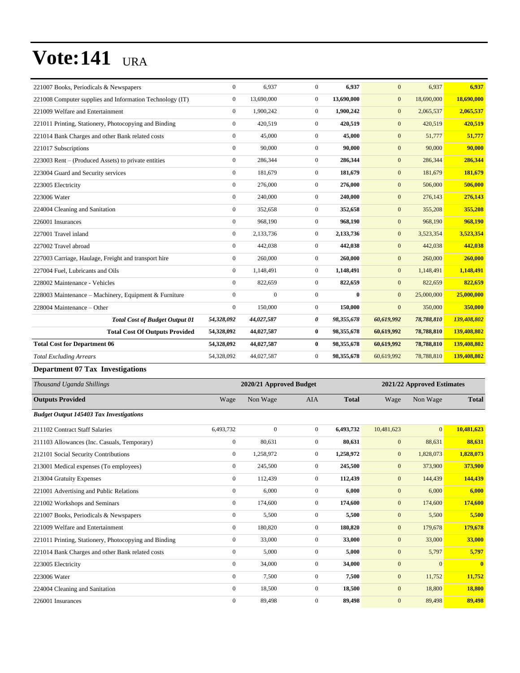| 13,690,000<br>18,690,000<br>221008 Computer supplies and Information Technology (IT)<br>$\mathbf{0}$<br>13,690,000<br>$\overline{0}$<br>$\mathbf{0}$<br>221009 Welfare and Entertainment<br>$\mathbf{0}$<br>1,900,242<br>$\overline{0}$<br>1,900,242<br>$\mathbf{0}$<br>2,065,537<br>$\mathbf{0}$<br>420,519<br>$\overline{0}$<br>420,519<br>$\mathbf{0}$<br>420,519<br>221011 Printing, Stationery, Photocopying and Binding | 18,690,000<br>2,065,537<br>420,519<br>51,777 |
|-------------------------------------------------------------------------------------------------------------------------------------------------------------------------------------------------------------------------------------------------------------------------------------------------------------------------------------------------------------------------------------------------------------------------------|----------------------------------------------|
|                                                                                                                                                                                                                                                                                                                                                                                                                               |                                              |
|                                                                                                                                                                                                                                                                                                                                                                                                                               |                                              |
|                                                                                                                                                                                                                                                                                                                                                                                                                               |                                              |
| 221014 Bank Charges and other Bank related costs<br>$\mathbf{0}$<br>45,000<br>$\mathbf{0}$<br>45,000<br>$\mathbf{0}$<br>51,777                                                                                                                                                                                                                                                                                                |                                              |
| $\mathbf{0}$<br>90,000<br>$\overline{0}$<br>90,000<br>90,000<br>221017 Subscriptions<br>$\mathbf{0}$                                                                                                                                                                                                                                                                                                                          | 90,000                                       |
| $\mathbf{0}$<br>$\overline{0}$<br>286,344<br>$\mathbf{0}$<br>286,344<br>223003 Rent – (Produced Assets) to private entities<br>286,344                                                                                                                                                                                                                                                                                        | 286,344                                      |
| $\mathbf{0}$<br>$\overline{0}$<br>181,679<br>223004 Guard and Security services<br>181,679<br>$\mathbf{0}$<br>181,679                                                                                                                                                                                                                                                                                                         | 181,679                                      |
| 506,000<br>$\mathbf{0}$<br>276,000<br>$\overline{0}$<br>276,000<br>$\mathbf{0}$<br>223005 Electricity                                                                                                                                                                                                                                                                                                                         | 506,000                                      |
| $\mathbf{0}$<br>$\mathbf{0}$<br>240,000<br>223006 Water<br>240,000<br>$\mathbf{0}$<br>276,143                                                                                                                                                                                                                                                                                                                                 | 276,143                                      |
| $\mathbf{0}$<br>224004 Cleaning and Sanitation<br>352,658<br>$\overline{0}$<br>352,658<br>$\mathbf{0}$<br>355,208                                                                                                                                                                                                                                                                                                             | 355,208                                      |
| $\mathbf{0}$<br>$\overline{0}$<br>968,190<br>$\mathbf{0}$<br>226001 Insurances<br>968.190<br>968,190                                                                                                                                                                                                                                                                                                                          | 968,190                                      |
| 227001 Travel inland<br>$\mathbf{0}$<br>2,133,736<br>$\mathbf{0}$<br>2,133,736<br>3,523,354<br>$\mathbf{0}$                                                                                                                                                                                                                                                                                                                   | 3,523,354                                    |
| $\mathbf{0}$<br>442,038<br>$\overline{0}$<br>442,038<br>$\mathbf{0}$<br>442,038<br>227002 Travel abroad                                                                                                                                                                                                                                                                                                                       | 442,038                                      |
| $\boldsymbol{0}$<br>260,000<br>$\overline{0}$<br>260,000<br>$\mathbf{0}$<br>260,000<br>227003 Carriage, Haulage, Freight and transport hire                                                                                                                                                                                                                                                                                   | 260,000                                      |
| 227004 Fuel, Lubricants and Oils<br>$\mathbf{0}$<br>1,148,491<br>$\overline{0}$<br>1,148,491<br>1,148,491<br>$\mathbf{0}$                                                                                                                                                                                                                                                                                                     | 1,148,491                                    |
| $\overline{0}$<br>$\mathbf{0}$<br>822,659<br>822,659<br>$\mathbf{0}$<br>228002 Maintenance - Vehicles<br>822,659                                                                                                                                                                                                                                                                                                              | 822,659                                      |
| 228003 Maintenance - Machinery, Equipment & Furniture<br>$\mathbf{0}$<br>$\overline{0}$<br>$\mathbf{0}$<br>$\bf{0}$<br>$\mathbf{0}$<br>25,000,000                                                                                                                                                                                                                                                                             | 25,000,000                                   |
| $\mathbf{0}$<br>150,000<br>$\mathbf{0}$<br>150,000<br>350,000<br>$\mathbf{0}$<br>228004 Maintenance - Other                                                                                                                                                                                                                                                                                                                   | 350,000                                      |
| <b>Total Cost of Budget Output 01</b><br>0<br>60,619,992<br>78,788,810<br>54,328,092<br>44,027,587<br>98,355,678                                                                                                                                                                                                                                                                                                              | 139,408,802                                  |
| <b>Total Cost Of Outputs Provided</b><br>44,027,587<br>$\bf{0}$<br>98,355,678<br>60,619,992<br>78,788,810<br>54,328,092                                                                                                                                                                                                                                                                                                       | 139,408,802                                  |
| <b>Total Cost for Department 06</b><br>54,328,092<br>44,027,587<br>$\bf{0}$<br>98,355,678<br>78,788,810<br>60,619,992                                                                                                                                                                                                                                                                                                         | 139,408,802                                  |
| $\boldsymbol{0}$<br><b>Total Excluding Arrears</b><br>54,328,092<br>44,027,587<br>98,355,678<br>60,619,992<br>78,788,810                                                                                                                                                                                                                                                                                                      | 139,408,802                                  |

#### **Department 07 Tax Investigations**

| Thousand Uganda Shillings                             | 2020/21 Approved Budget |                |                |              |              | 2021/22 Approved Estimates |                |  |  |
|-------------------------------------------------------|-------------------------|----------------|----------------|--------------|--------------|----------------------------|----------------|--|--|
| <b>Outputs Provided</b>                               | Wage                    | Non Wage       | <b>AIA</b>     | <b>Total</b> | Wage         | Non Wage                   | <b>Total</b>   |  |  |
| <b>Budget Output 145403 Tax Investigations</b>        |                         |                |                |              |              |                            |                |  |  |
| 211102 Contract Staff Salaries                        | 6,493,732               | $\overline{0}$ | $\Omega$       | 6,493,732    | 10,481,623   | $\overline{0}$             | 10,481,623     |  |  |
| 211103 Allowances (Inc. Casuals, Temporary)           | $\boldsymbol{0}$        | 80,631         | $\overline{0}$ | 80,631       | $\mathbf{0}$ | 88,631                     | 88,631         |  |  |
| 212101 Social Security Contributions                  | $\mathbf{0}$            | 1,258,972      | $\overline{0}$ | 1,258,972    | $\mathbf{0}$ | 1,828,073                  | 1,828,073      |  |  |
| 213001 Medical expenses (To employees)                | $\mathbf{0}$            | 245,500        | $\overline{0}$ | 245,500      | $\mathbf{0}$ | 373,900                    | 373,900        |  |  |
| 213004 Gratuity Expenses                              | $\mathbf{0}$            | 112,439        | $\Omega$       | 112,439      | $\mathbf{0}$ | 144,439                    | 144,439        |  |  |
| 221001 Advertising and Public Relations               | $\mathbf{0}$            | 6,000          | $\Omega$       | 6,000        | $\mathbf{0}$ | 6,000                      | 6,000          |  |  |
| 221002 Workshops and Seminars                         | $\mathbf{0}$            | 174,600        | $\Omega$       | 174,600      | $\mathbf{0}$ | 174,600                    | 174,600        |  |  |
| 221007 Books, Periodicals & Newspapers                | $\mathbf{0}$            | 5,500          | $\overline{0}$ | 5,500        | $\mathbf{0}$ | 5,500                      | 5,500          |  |  |
| 221009 Welfare and Entertainment                      | $\mathbf{0}$            | 180,820        | $\overline{0}$ | 180,820      | $\mathbf{0}$ | 179,678                    | 179,678        |  |  |
| 221011 Printing, Stationery, Photocopying and Binding | $\mathbf{0}$            | 33,000         | $\Omega$       | 33,000       | $\mathbf{0}$ | 33,000                     | 33,000         |  |  |
| 221014 Bank Charges and other Bank related costs      | $\mathbf{0}$            | 5,000          | $\overline{0}$ | 5,000        | $\mathbf{0}$ | 5,797                      | 5,797          |  |  |
| 223005 Electricity                                    | $\mathbf{0}$            | 34,000         | $\Omega$       | 34,000       | $\mathbf{0}$ | $\mathbf{0}$               | $\overline{0}$ |  |  |
| 223006 Water                                          | $\mathbf{0}$            | 7,500          | $\overline{0}$ | 7,500        | $\mathbf{0}$ | 11,752                     | 11,752         |  |  |
| 224004 Cleaning and Sanitation                        | $\mathbf{0}$            | 18,500         | $\overline{0}$ | 18,500       | $\mathbf{0}$ | 18,800                     | 18,800         |  |  |
| 226001 Insurances                                     | $\mathbf{0}$            | 89,498         | $\Omega$       | 89,498       | $\mathbf{0}$ | 89,498                     | 89,498         |  |  |